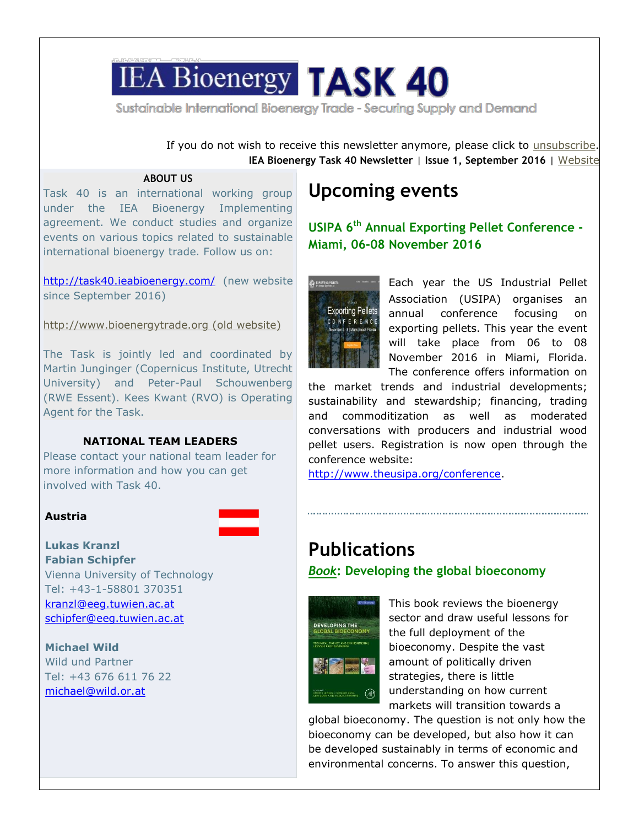# **IEA Bioenergy TASK 40**

Sustainable International Bioenergy Trade - Securing Supply and Demand

If you do not wish to receive this newsletter anymore, please click to [unsubscribe](http://t.ymlp326.com/beqadaeuymsaxaejeapauwws/click.php). **IEA Bioenergy Task 40 Newsletter** | **Issue 1, September 2016** | [Website](http://t.ymlp326.com/beyazaeuymsakaejeanauwws/click.php)

## **ABOUT US**

Task 40 is an international working group under the IEA Bioenergy Implementing agreement. We conduct studies and organize events on various topics related to sustainable international bioenergy trade. Follow us on:

<http://task40.ieabioenergy.com/> (new website since September 2016)

[http://www.bioenergytrade.org](http://t.ymlp326.com/bmsazaeuymsalaejeanauwws/click.php) (old website)

The Task is jointly led and coordinated by Martin Junginger (Copernicus Institute, Utrecht University) and Peter-Paul Schouwenberg (RWE Essent). Kees Kwant (RVO) is Operating Agent for the Task.

## **NATIONAL TEAM LEADERS**

Please contact your national team leader for more information and how you can get involved with Task 40.

## **Austria**

**Lukas Kranzl Fabian Schipfer** Vienna University of Technology Tel: +43-1-58801 370351 [kranzl@eeg.tuwien.ac.at](mailto:kranzl@eeg.tuwien.ac.at)

[schipfer@eeg.tuwien.ac.at](mailto:schipfer@eeg.tuwien.ac.at)

**Michael Wild** Wild und Partner Tel: +43 676 611 76 22 [michael@wild.or.at](mailto:michael@wild.or.at)

# **Upcoming events**

**USIPA 6 th Annual Exporting Pellet Conference - Miami, 06-08 November 2016**



Each year the US Industrial Pellet Association (USIPA) organises an annual conference focusing on exporting pellets. This year the event will take place from 06 to 08 November 2016 in Miami, Florida. The conference offers information on

the market trends and industrial developments; sustainability and stewardship; financing, trading and commoditization as well as moderated conversations with producers and industrial wood pellet users. Registration is now open through the conference website:

[http://www.theusipa.org/conference.](http://www.theusipa.org/conference)

# **Publications**

*Book***: Developing the global bioeconomy**



This book reviews the bioenergy sector and draw useful lessons for the full deployment of the bioeconomy. Despite the vast amount of politically driven strategies, there is little understanding on how current markets will transition towards a

global bioeconomy. The question is not only how the bioeconomy can be developed, but also how it can be developed sustainably in terms of economic and environmental concerns. To answer this question,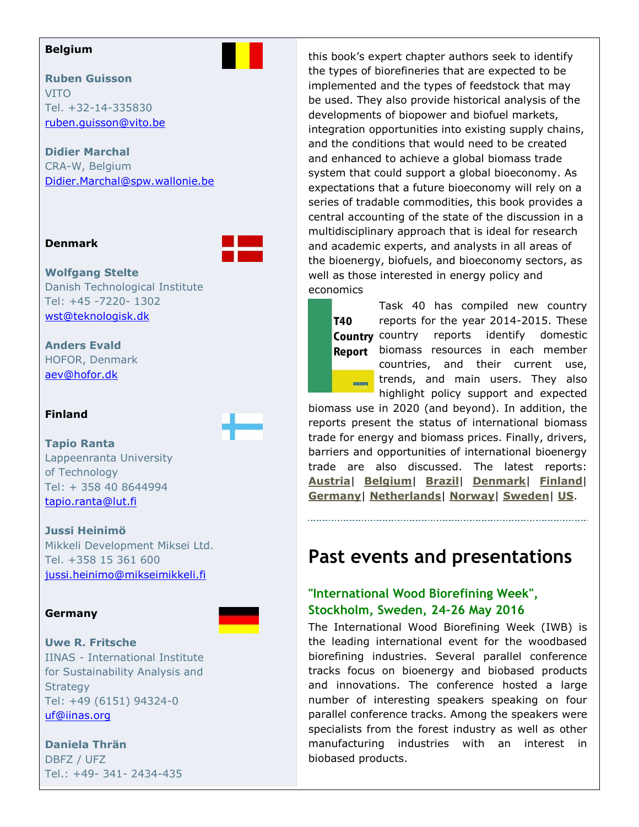### **Belgium**

## **Ruben Guisson** VITO Tel. +32-14-335830 [ruben.guisson@vito.be](mailto:ruben.guisson@vito.be)

**Didier Marchal** CRA-W, Belgium [Didier.Marchal@spw.wallonie.be](mailto:Didier.Marchal@spw.wallonie.be)

## **Denmark**



**Wolfgang Stelte** Danish Technological Institute Tel: +45 -7220- 1302 [wst@teknologisk.dk](mailto:wst@teknologisk.dk)

**Anders Evald** HOFOR, Denmark [aev@hofor.dk](mailto:aev@hofor.dk)

## **Finland**



**Tapio Ranta** Lappeenranta University of Technology Tel: + 358 40 8644994 [tapio.ranta@lut.fi](mailto:tapio.ranta@lut.fi)

## **Jussi Heinimö**

Mikkeli Development Miksei Ltd. Tel. +358 15 361 600 [jussi.heinimo@mikseimikkeli.fi](mailto:jussi.heinimo@mikseimikkeli.fi)

## **Germany**



## **Uwe R. Fritsche**

IINAS - International Institute for Sustainability Analysis and **Strategy** Tel: +49 (6151) 94324-0 [uf@iinas.org](mailto:uf@iinas.org)

## **Daniela Thrän**

DBFZ / UFZ Tel.: +49- 341- 2434-435 this book's expert chapter authors seek to identify the types of biorefineries that are expected to be implemented and the types of feedstock that may be used. They also provide historical analysis of the developments of biopower and biofuel markets, integration opportunities into existing supply chains, and the conditions that would need to be created and enhanced to achieve a global biomass trade system that could support a global bioeconomy. As expectations that a future bioeconomy will rely on a series of tradable commodities, this book provides a central accounting of the state of the discussion in a multidisciplinary approach that is ideal for research and academic experts, and analysts in all areas of the bioenergy, biofuels, and bioeconomy sectors, as well as those interested in energy policy and economics

Task 40 has compiled new country **T40** reports for the year 2014-2015. These **Country** country reports identify domestic Report biomass resources in each member countries, and their current use, trends, and main users. They also **TEAMWHOOD** highlight policy support and expected

biomass use in 2020 (and beyond). In addition, the reports present the status of international biomass trade for energy and biomass prices. Finally, drivers, barriers and opportunities of international bioenergy trade are also discussed. The latest reports: **[Austria](http://t.ymlp326.com/bmmaiaeuymsadaejeaiauwws/click.php)**| **Belgium**| **[Brazil](http://t.ymlp326.com/bmjaiaeuymsafaejeavauwws/click.php)**| **[Denmark](http://t.ymlp326.com/bmbacaeuymsazaejeaaauwws/click.php)**| **[Finland](http://t.ymlp326.com/bmhalaeuymsacaejeaiauwws/click.php)**| **[Germany](http://t.ymlp326.com/bmwacaeuymsazaejearauwws/click.php)**| **[Netherlands](http://t.ymlp326.com/bmqaaaeuymsafaejeavauwws/click.php)**| **[Norway](http://t.ymlp326.com/bmyadaeuymsazaejeapauwws/click.php)**| **[Sweden](http://t.ymlp326.com/bjsapaeuymsataejeakauwws/click.php)**| **[US](http://t.ymlp326.com/bjuanaeuymsaiaejearauwws/click.php)**.

## **Past events and presentations**

## **"International Wood Biorefining Week", Stockholm, Sweden, 24-26 May 2016**

The International Wood Biorefining Week (IWB) is the leading international event for the woodbased biorefining industries. Several parallel conference tracks focus on bioenergy and biobased products and innovations. The conference hosted a large number of interesting speakers speaking on four parallel conference tracks. Among the speakers were specialists from the forest industry as well as other manufacturing industries with an interest in biobased products.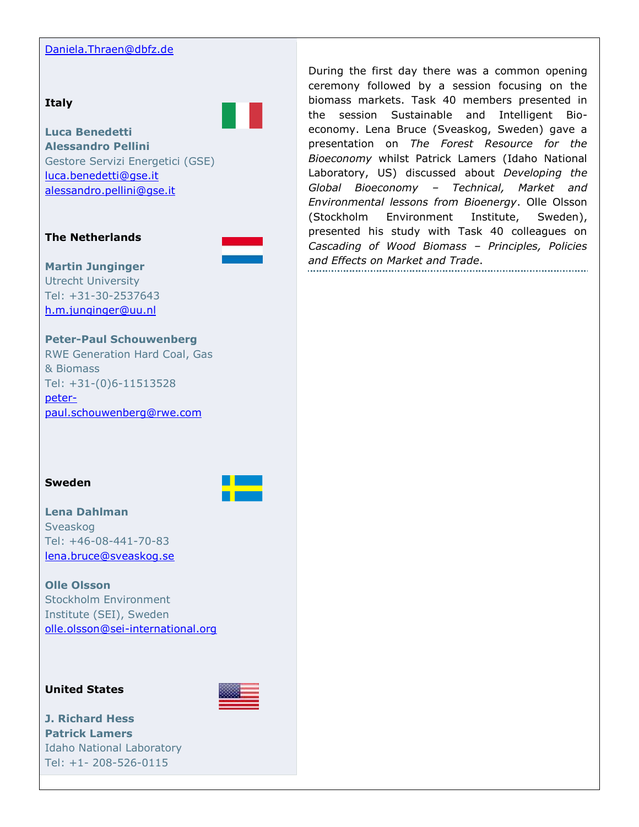## [Daniela.Thraen@dbfz.de](mailto:Daniela.Thraen@dbfz.de)

#### **Italy**



**Luca Benedetti Alessandro Pellini** Gestore Servizi Energetici (GSE) [luca.benedetti@gse.it](mailto:luca.benedetti@gse.it) [alessandro.pellini@gse.it](mailto:alessandro.pellini@gse.it)

## **The Netherlands**



#### **Martin Junginger** Utrecht University

Tel: +31-30-2537643 [h.m.junginger@uu.nl](mailto:h.m.junginger@uu.nl)

## **Peter-Paul Schouwenberg**

RWE Generation Hard Coal, Gas & Biomass Tel: +31-(0)6-11513528 [peter](mailto:peter-paul.schouwenberg@rwe.com)[paul.schouwenberg@rwe.com](mailto:peter-paul.schouwenberg@rwe.com)

## **Sweden**



## **Lena Dahlman** Sveaskog Tel: +46-08-441-70-83 [lena.bruce@sveaskog.se](mailto:lena.bruce@sveaskog.se)

## **Olle Olsson** Stockholm Environment Institute (SEI), Sweden [olle.olsson@sei-international.org](mailto:olle.olsson@sei-international.org)

## **United States**



**J. Richard Hess Patrick Lamers** Idaho National Laboratory Tel: +1- 208-526-0115

During the first day there was a common opening ceremony followed by a session focusing on the biomass markets. Task 40 members presented in the session Sustainable and Intelligent Bioeconomy. Lena Bruce (Sveaskog, Sweden) gave a presentation on *The Forest Resource for the Bioeconomy* whilst Patrick Lamers (Idaho National Laboratory, US) discussed about *Developing the Global Bioeconomy – Technical, Market and Environmental lessons from Bioenergy*. Olle Olsson (Stockholm Environment Institute, Sweden), presented his study with Task 40 colleagues on *Cascading of Wood Biomass – Principles, Policies and Effects on Market and Trade*.